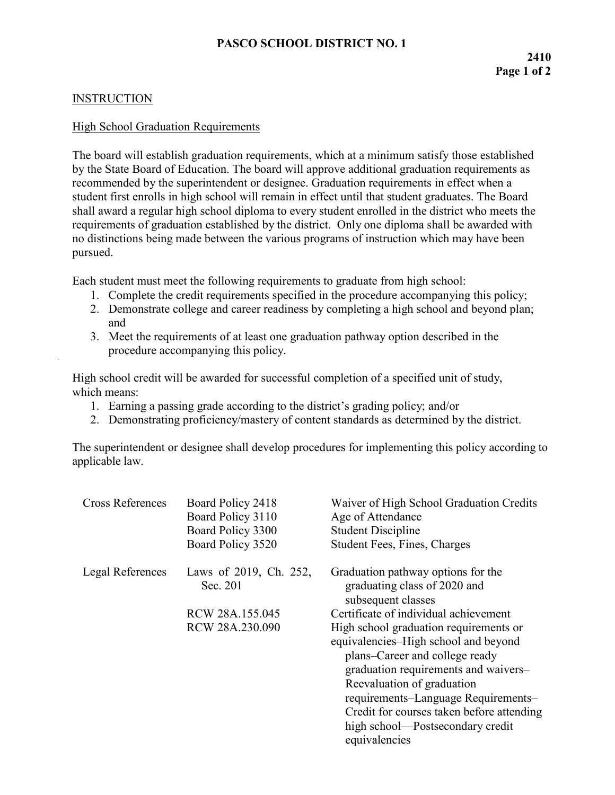## **INSTRUCTION**

## High School Graduation Requirements

The board will establish graduation requirements, which at a minimum satisfy those established by the State Board of Education. The board will approve additional graduation requirements as recommended by the superintendent or designee. Graduation requirements in effect when a student first enrolls in high school will remain in effect until that student graduates. The Board shall award a regular high school diploma to every student enrolled in the district who meets the requirements of graduation established by the district. Only one diploma shall be awarded with no distinctions being made between the various programs of instruction which may have been pursued.

Each student must meet the following requirements to graduate from high school:

- 1. Complete the credit requirements specified in the procedure accompanying this policy;
- 2. Demonstrate college and career readiness by completing a high school and beyond plan; and
- 3. Meet the requirements of at least one graduation pathway option described in the procedure accompanying this policy.

High school credit will be awarded for successful completion of a specified unit of study, which means:

- 1. Earning a passing grade according to the district's grading policy; and/or
- 2. Demonstrating proficiency/mastery of content standards as determined by the district.

The superintendent or designee shall develop procedures for implementing this policy according to applicable law.

| <b>Cross References</b> | Board Policy 2418<br>Board Policy 3110<br>Board Policy 3300<br>Board Policy 3520 | Waiver of High School Graduation Credits<br>Age of Attendance<br><b>Student Discipline</b><br><b>Student Fees, Fines, Charges</b>                                                                                                                                                                                               |
|-------------------------|----------------------------------------------------------------------------------|---------------------------------------------------------------------------------------------------------------------------------------------------------------------------------------------------------------------------------------------------------------------------------------------------------------------------------|
| Legal References        | Laws of 2019, Ch. 252,<br>Sec. 201                                               | Graduation pathway options for the<br>graduating class of 2020 and<br>subsequent classes                                                                                                                                                                                                                                        |
|                         | RCW 28A.155.045                                                                  | Certificate of individual achievement                                                                                                                                                                                                                                                                                           |
|                         | RCW 28A.230.090                                                                  | High school graduation requirements or<br>equivalencies–High school and beyond<br>plans–Career and college ready<br>graduation requirements and waivers-<br>Reevaluation of graduation<br>requirements–Language Requirements–<br>Credit for courses taken before attending<br>high school—Postsecondary credit<br>equivalencies |